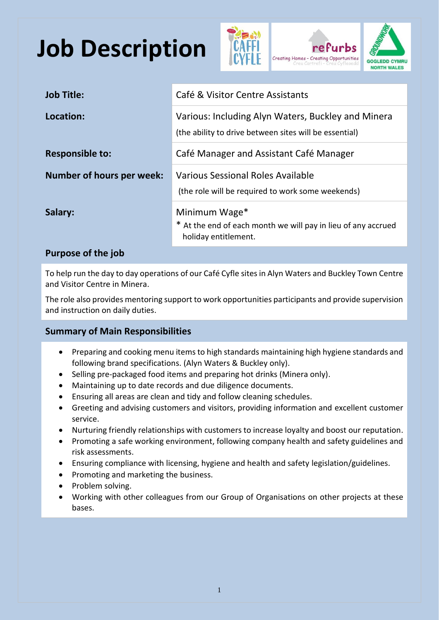## **Job Description**





| <b>Job Title:</b>                | Café & Visitor Centre Assistants                                                                             |  |
|----------------------------------|--------------------------------------------------------------------------------------------------------------|--|
| Location:                        | Various: Including Alyn Waters, Buckley and Minera<br>(the ability to drive between sites will be essential) |  |
| <b>Responsible to:</b>           | Café Manager and Assistant Café Manager                                                                      |  |
| <b>Number of hours per week:</b> | Various Sessional Roles Available<br>(the role will be required to work some weekends)                       |  |
| Salary:                          | Minimum Wage*<br>* At the end of each month we will pay in lieu of any accrued<br>holiday entitlement.       |  |

## **Purpose of the job**

To help run the day to day operations of our Café Cyfle sites in Alyn Waters and Buckley Town Centre and Visitor Centre in Minera.

The role also provides mentoring support to work opportunities participants and provide supervision and instruction on daily duties.

## **Summary of Main Responsibilities**

- Preparing and cooking menu items to high standards maintaining high hygiene standards and following brand specifications. (Alyn Waters & Buckley only).
- Selling pre-packaged food items and preparing hot drinks (Minera only).
- Maintaining up to date records and due diligence documents.
- Ensuring all areas are clean and tidy and follow cleaning schedules.
- Greeting and advising customers and visitors, providing information and excellent customer service.
- Nurturing friendly relationships with customers to increase loyalty and boost our reputation.
- Promoting a safe working environment, following company health and safety guidelines and risk assessments.
- Ensuring compliance with licensing, hygiene and health and safety legislation/guidelines.
- Promoting and marketing the business.
- Problem solving.
- Working with other colleagues from our Group of Organisations on other projects at these bases.